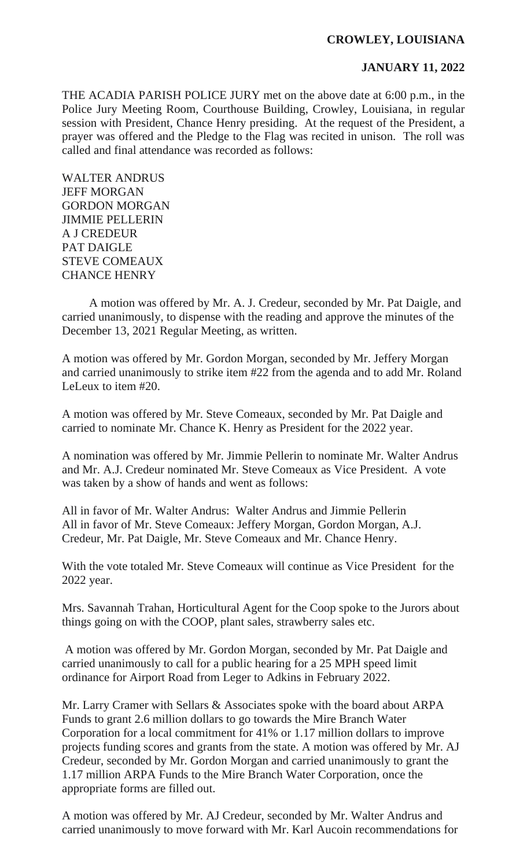## **CROWLEY, LOUISIANA**

## **JANUARY 11, 2022**

THE ACADIA PARISH POLICE JURY met on the above date at 6:00 p.m., in the Police Jury Meeting Room, Courthouse Building, Crowley, Louisiana, in regular session with President, Chance Henry presiding. At the request of the President, a prayer was offered and the Pledge to the Flag was recited in unison. The roll was called and final attendance was recorded as follows:

WALTER ANDRUS JEFF MORGAN GORDON MORGAN JIMMIE PELLERIN A J CREDEUR PAT DAIGLE STEVE COMEAUX CHANCE HENRY

A motion was offered by Mr. A. J. Credeur, seconded by Mr. Pat Daigle, and carried unanimously, to dispense with the reading and approve the minutes of the December 13, 2021 Regular Meeting, as written.

A motion was offered by Mr. Gordon Morgan, seconded by Mr. Jeffery Morgan and carried unanimously to strike item #22 from the agenda and to add Mr. Roland LeLeux to item #20.

A motion was offered by Mr. Steve Comeaux, seconded by Mr. Pat Daigle and carried to nominate Mr. Chance K. Henry as President for the 2022 year.

A nomination was offered by Mr. Jimmie Pellerin to nominate Mr. Walter Andrus and Mr. A.J. Credeur nominated Mr. Steve Comeaux as Vice President. A vote was taken by a show of hands and went as follows:

All in favor of Mr. Walter Andrus: Walter Andrus and Jimmie Pellerin All in favor of Mr. Steve Comeaux: Jeffery Morgan, Gordon Morgan, A.J. Credeur, Mr. Pat Daigle, Mr. Steve Comeaux and Mr. Chance Henry.

With the vote totaled Mr. Steve Comeaux will continue as Vice President for the 2022 year.

Mrs. Savannah Trahan, Horticultural Agent for the Coop spoke to the Jurors about things going on with the COOP, plant sales, strawberry sales etc.

A motion was offered by Mr. Gordon Morgan, seconded by Mr. Pat Daigle and carried unanimously to call for a public hearing for a 25 MPH speed limit ordinance for Airport Road from Leger to Adkins in February 2022.

Mr. Larry Cramer with Sellars & Associates spoke with the board about ARPA Funds to grant 2.6 million dollars to go towards the Mire Branch Water Corporation for a local commitment for 41% or 1.17 million dollars to improve projects funding scores and grants from the state. A motion was offered by Mr. AJ Credeur, seconded by Mr. Gordon Morgan and carried unanimously to grant the 1.17 million ARPA Funds to the Mire Branch Water Corporation, once the appropriate forms are filled out.

A motion was offered by Mr. AJ Credeur, seconded by Mr. Walter Andrus and carried unanimously to move forward with Mr. Karl Aucoin recommendations for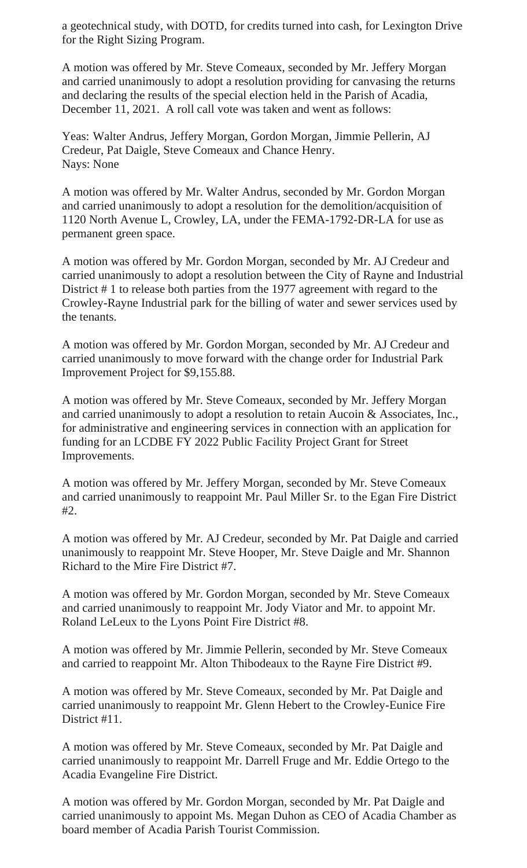a geotechnical study, with DOTD, for credits turned into cash, for Lexington Drive for the Right Sizing Program.

A motion was offered by Mr. Steve Comeaux, seconded by Mr. Jeffery Morgan and carried unanimously to adopt a resolution providing for canvasing the returns and declaring the results of the special election held in the Parish of Acadia, December 11, 2021. A roll call vote was taken and went as follows:

Yeas: Walter Andrus, Jeffery Morgan, Gordon Morgan, Jimmie Pellerin, AJ Credeur, Pat Daigle, Steve Comeaux and Chance Henry. Nays: None

A motion was offered by Mr. Walter Andrus, seconded by Mr. Gordon Morgan and carried unanimously to adopt a resolution for the demolition/acquisition of 1120 North Avenue L, Crowley, LA, under the FEMA-1792-DR-LA for use as permanent green space.

A motion was offered by Mr. Gordon Morgan, seconded by Mr. AJ Credeur and carried unanimously to adopt a resolution between the City of Rayne and Industrial District # 1 to release both parties from the 1977 agreement with regard to the Crowley-Rayne Industrial park for the billing of water and sewer services used by the tenants.

A motion was offered by Mr. Gordon Morgan, seconded by Mr. AJ Credeur and carried unanimously to move forward with the change order for Industrial Park Improvement Project for \$9,155.88.

A motion was offered by Mr. Steve Comeaux, seconded by Mr. Jeffery Morgan and carried unanimously to adopt a resolution to retain Aucoin & Associates, Inc., for administrative and engineering services in connection with an application for funding for an LCDBE FY 2022 Public Facility Project Grant for Street Improvements.

A motion was offered by Mr. Jeffery Morgan, seconded by Mr. Steve Comeaux and carried unanimously to reappoint Mr. Paul Miller Sr. to the Egan Fire District #2.

A motion was offered by Mr. AJ Credeur, seconded by Mr. Pat Daigle and carried unanimously to reappoint Mr. Steve Hooper, Mr. Steve Daigle and Mr. Shannon Richard to the Mire Fire District #7.

A motion was offered by Mr. Gordon Morgan, seconded by Mr. Steve Comeaux and carried unanimously to reappoint Mr. Jody Viator and Mr. to appoint Mr. Roland LeLeux to the Lyons Point Fire District #8.

A motion was offered by Mr. Jimmie Pellerin, seconded by Mr. Steve Comeaux and carried to reappoint Mr. Alton Thibodeaux to the Rayne Fire District #9.

A motion was offered by Mr. Steve Comeaux, seconded by Mr. Pat Daigle and carried unanimously to reappoint Mr. Glenn Hebert to the Crowley-Eunice Fire District #11.

A motion was offered by Mr. Steve Comeaux, seconded by Mr. Pat Daigle and carried unanimously to reappoint Mr. Darrell Fruge and Mr. Eddie Ortego to the Acadia Evangeline Fire District.

A motion was offered by Mr. Gordon Morgan, seconded by Mr. Pat Daigle and carried unanimously to appoint Ms. Megan Duhon as CEO of Acadia Chamber as board member of Acadia Parish Tourist Commission.